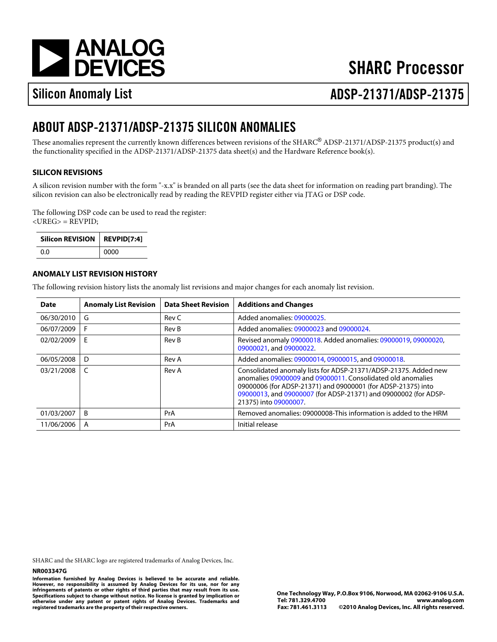[a](http://www.analog.com)

# **SHARC Processor**

# Silicon Anomaly List ADSP-21371/ADSP-2137

## ABOUT ADSP-21371/ADSP-21375 SILICON ANOMALIES

These anomalies represent the currently known differences between revisions of the SHARC®ADSP-21371/ADSP-21375 product(s) and the functionality specified in the ADSP-21371/ADSP-21375 data sheet(s) and the Hardware Reference book(s).

### SILICON REVISIONS

A silicon revision number with the form "-x.x" is branded on all parts (see the data sheet for information on reading part branding). The silicon revision can also be electronically read by reading the REVPID register either via JTAG or DSP code.

The following DSP code can be used to read the register: <UREG> = REVPID;

| Silicon REVISION REVPID[7:4] |      |
|------------------------------|------|
| 0.O                          | 0000 |

#### ANOMALY LIST REVISION HISTORY

The following revision history lists the anomaly list revisions and major changes for each anomaly list revision.

| Date           | <b>Anomaly List Revision</b> | Data Sheet Revision | <b>Additions and Changes</b>                                                                                                                                                                                                                                               |
|----------------|------------------------------|---------------------|----------------------------------------------------------------------------------------------------------------------------------------------------------------------------------------------------------------------------------------------------------------------------|
| 06/30/2010 G   |                              | Rev C               | Added anomalies09000025                                                                                                                                                                                                                                                    |
| 06/07/2009 F   |                              | Rev B               | Added anomalies09000023and09000024                                                                                                                                                                                                                                         |
| 02/02/2009     | E                            | Rev B               | Revised anomal@9000018 Added anomalies0900001909000020<br>09000021 and09000022                                                                                                                                                                                             |
| 06/05/2008 D   |                              | Rev A               | Added anomalies0900001409000015 and09000018                                                                                                                                                                                                                                |
| $03/21/2008$ C |                              | Rev A               | Consolidated anomaly lists for ADSP-21371/ADSP-21375. Added new<br>anomalies09000009and09000011 Consolidated old anomalies<br>09000006(for ADSP-21371) an09000001(for ADSP-21375) into<br>09000013 and09000007(for ADSP-21371) ar@9000002(for ADSP-<br>21375) into09000007 |
| 01/03/2007     | B                            | PrA                 | Removed anomalies09000008This information is added to the HRM                                                                                                                                                                                                              |
| 11/06/2006     | A                            | <b>PrA</b>          | Initial release                                                                                                                                                                                                                                                            |

SHARC and the SHARC logo are registered trademarks of Analog Devices, Inc.

#### NR003347G

Information furnished by Analog Devices is believed to be accurate and reliable. However, no responsibility is assumed by Analog Devices for its use, nor for any infringements of patents or other rights of third parties that may result from its use. Specifications subject to change without notice. No license is granted by implication or otherwise under any patent or patent rights of Analog Devices. Trademarks and registered trademarks are the property of their respective owners.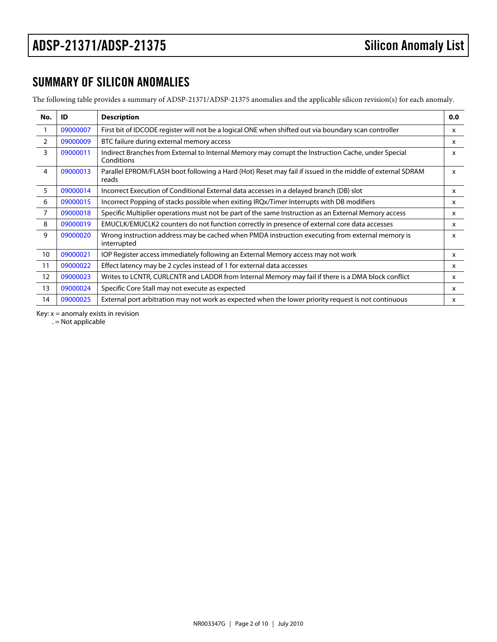### SUMMARY OF SILICON ANOMALIES

The following table provides a summary of ADSP-21371/ADSP-21375 anomalies and the applicable silicon revision(s) for each anomaly.

<span id="page-1-6"></span><span id="page-1-5"></span><span id="page-1-4"></span><span id="page-1-3"></span><span id="page-1-2"></span><span id="page-1-1"></span><span id="page-1-0"></span>

| No.            | ID       | Description                                                                                                         | 0.0          |
|----------------|----------|---------------------------------------------------------------------------------------------------------------------|--------------|
| $\mathbf 1$    | 09000007 | First bit of IDCODE register will not be a logical ONE when shifted out via boundary scan controller                | X            |
| 2              | 09000009 | BTC failure during external memory access                                                                           | $\mathsf{x}$ |
| 3              | 09000011 | Indirect Branches from External to Internal Memory may corrupt the Instruction Cache, under Special<br>Conditions   | X            |
| 4              | 09000013 | Parallel EPROM/FLASH boot following a Hard (Hot) Reset may fail if issued in the middle of external SDRAM.<br>reads |              |
| 5              | 09000014 | Incorrect Execution of Conditional External data accesses in a delayed branch (DB) slot                             | X            |
| 6              | 09000015 | Incorrect Popping of stacks possible when exiting IRQx/Timer Interrupts with DB modifiers                           | X            |
| $\overline{7}$ | 09000018 | Specific Multiplier operations must not be part of the same Instruction as an External Memory access                | X            |
| 8              | 09000019 | EMUCLK/EMUCLK2 counters do not function correctly in presence of external core data accesses                        | $\mathsf{x}$ |
| 9              | 09000020 | Wrong instruction address may be cached when PMDA instruction executing from external memory is<br>interrupted      | X            |
| 10             | 09000021 | IOP Register access immediately following an External Memory access may not work                                    | x            |
| 11             | 09000022 | Effect latency may be 2 cycles instead of 1 for external data accesses                                              | X            |
| 12             | 09000023 | Writes to LCNTR, CURLCNTR and LADDR from Internal Memory may fail if there is a DMA block conflict                  | x            |
| 13             | 09000024 | Specific Core Stall may not execute as expected                                                                     | X            |
| 14             | 09000025 | External port arbitration may not work as expected when the lower priority request is not continuous                | X            |

<span id="page-1-13"></span><span id="page-1-12"></span><span id="page-1-11"></span><span id="page-1-10"></span><span id="page-1-9"></span><span id="page-1-8"></span><span id="page-1-7"></span>Key:  $x =$  anomaly exists in revision

 $. =$  Not applicable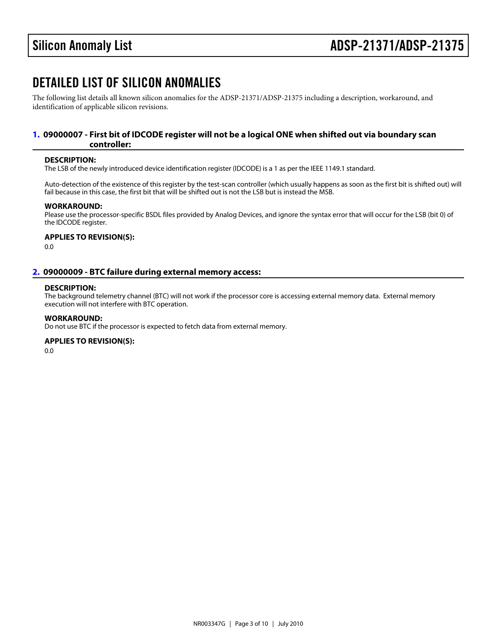### DETAILED LIST OF SILICON ANOMALIES

The following list details all known silicon anomalies for the ADSP-21371/ADSP-21375 including a description, workaround, and identification of applicable silicon revisions.

#### <span id="page-2-1"></span>[1.](#page-1-0) 09000007 - First bit of IDCODE register will not be a logical ONE when shifted out via boundary scan controller:

#### DESCRIPTION:

The LSB of the newly introduced device identification register (IDCODE) is a 1 as per the IEEE 1149.1 standard.

Auto-detection of the existence of this register by the test-scan controller (which usually happens as soon as the first bit is shifted out) will fail because in this case, the first bit that will be shifted out is not the LSB but is instead the MSB.

#### WORKAROUND:

Please use the processor-specific BSDL files provided by Analog Devices, and ignore the syntax error that will occur for the LSB (bit 0) of the IDCODE register.

APPLIES TO REVISION(S): 0.0

#### <span id="page-2-0"></span>[2.](#page-1-1) 09000009 - BTC failure during external memory access:

#### DESCRIPTION:

The background telemetry channel (BTC) will not work if the processor core is accessing external memory data. External memory execution will not interfere with BTC operation.

#### WORKAROUND:

Do not use BTC if the processor is expected to fetch data from external memory.

#### APPLIES TO REVISION(S):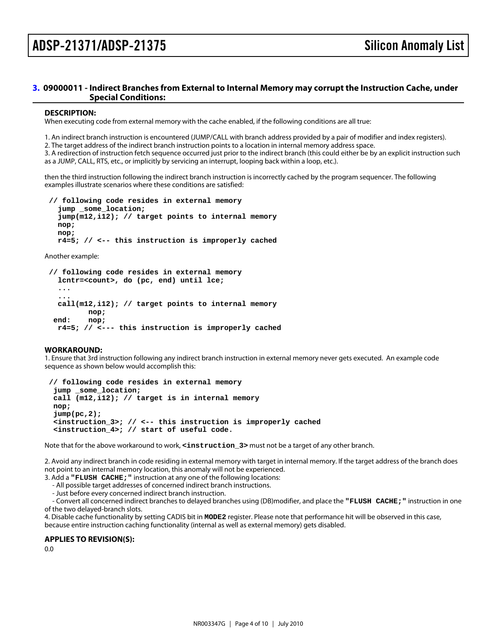### ADSP-21371/ADSP-21375 Silicon Anomaly List

#### <span id="page-3-0"></span>[3.](#page-1-2) 09000011 - Indirect Branches from External to Internal Memory may corrupt the Instruction Cache, under Special Conditions:

#### DESCRIPTION:

When executing code from external memory with the cache enabled, if the following conditions are all true:

1. An indirect branch instruction is encountered (JUMP/CALL with branch address provided by a pair of modifier and index registers).

2. The target address of the indirect branch instruction points to a location in internal memory address space.

3. A redirection of instruction fetch sequence occurred just prior to the indirect branch (this could either be by an explicit instruction such as a JUMP, CALL, RTS, etc., or implicitly by servicing an interrupt, looping back within a loop, etc.).

then the third instruction following the indirect branch instruction is incorrectly cached by the program sequencer. The following examples illustrate scenarios where these conditions are satisfied:

 // following code resides in external memory jump \_some\_location; jump(m12,i12); // target points to internal memory nop; nop; r4=5; // <-- this instruction is improperly cached

Another example:

// following code resides in external memory

lcntr=<count>, do (pc, end) until lce;

...

 ... call(m12,i12); // target points to internal memory nop; end: nop; r4=5; // <--- this instruction is improperly cached

WORKAROUND:

1. Ensure that 3rd instruction following any indirect branch instruction in external memory never gets executed. An example code sequence as shown below would accomplish this:

 // following code resides in external memory jump \_some\_location; call (m12,i12); // target is in internal memory nop; jump(pc,2);  $\epsilon$ instruction\_3 $>$ ; // $\epsilon$ --this instruction is improperly cached <instruction\_4>; // start of useful code.

Note that for the above workaround to work, <instruction\_3> must not be a target of any other branch.

2. Avoid any indirect branch in code residing in external memory with target in internal memory. If the target address of the branch does not point to an internal memory location, this anomaly will not be experienced.

3. Add a "FLUSH CACHE;" instruction at any one of the following locations:

- All possible target addresses of concerned indirect branch instructions.

- Just before every concerned indirect branch instruction.

 - Convert all concerned indirect branches to delayed branches using (DB)modifier, and place the "FLUSH CACHE;" instruction in one of the two delayed-branch slots.

4. Disable cache functionality by setting CADIS bit in MODE2 register. Please note that performance hit will be observed in this case, because entire instruction caching functionality (internal as well as external memory) gets disabled.

APPLIES TO REVISION(S):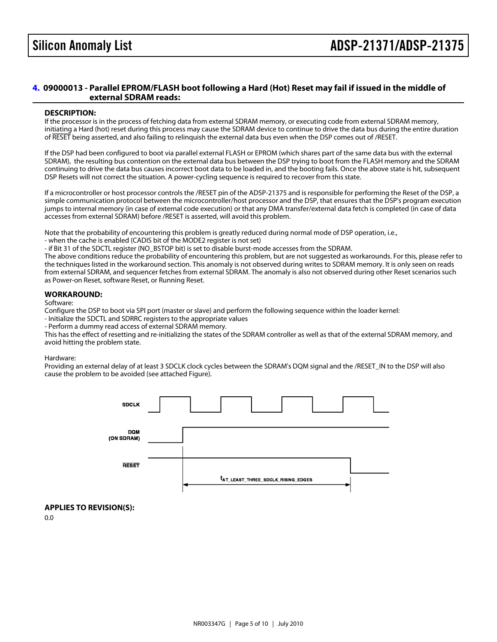#### <span id="page-4-0"></span>[4.](#page-1-3) 09000013 - Parallel EPROM/FLASH boot following a Hard (Hot) Reset may fail if issued in the middle of external SDRAM reads:

#### DESCRIPTION:

If the processor is in the process of fetching data from external SDRAM memory, or executing code from external SDRAM memory, initiating a Hard (hot) reset during this process may cause the SDRAM device to continue to drive the data bus during the entire duration of RESE being asserted, and also failing to relinquish the external data bus even when the DSP comes out of /RESET.

If the DSP had been configured to boot via parallel external FLASH or EPROM (which shares part of the same data bus with the external SDRAM), the resulting bus contention on the external data bus between the DSP trying to boot from the FLASH memory and the SDRAM continuing to drive the data bus causes incorrect boot data to be loaded in, and the booting fails. Once the above state is hit, subsequent DSP Resets will not correct the situation. A power-cycling sequence is required to recover from this state.

If a microcontroller or host processor controls the /RESET pin of the ADSP-21375 and is responsible for performing the Reset of the DSP, a simple communication protocol between the microcontroller/host processor and the DSP, that ensures that the DSP's program execution jumps to internal memory (in case of external code execution) or that any DMA transfer/external data fetch is completed (in case of data accesses from external SDRAM) before /RESET is asserted, will avoid this problem.

Note that the probability of encountering this problem is greatly reduced during normal mode of DSP operation, i.e.,

- when the cache is enabled (CADIS bit of the MODE2 register is not set)

- if Bit 31 of the SDCTL register (NO\_BSTOP bit) is set to disable burst-mode accesses from the SDRAM.

The above conditions reduce the probability of encountering this problem, but are not suggested as workarounds. For this, please refer to the techniques listed in the workaround section. This anomaly is not observed during writes to SDRAM memory. It is only seen on reads from external SDRAM, and sequencer fetches from external SDRAM. The anomaly is also not observed during other Reset scenarios such as Power-on Reset, software Reset, or Running Reset.

#### WORKAROUND:

Software:

Configure the DSP to boot via SPI port (master or slave) and perform the following sequence within the loader kernel:

- Initialize the SDCTL and SDRRC registers to the appropriate values

- Perform a dummy read access of external SDRAM memory.

This has the effect of resetting and re-initializing the states of the SDRAM controller as well as that of the external SDRAM memory, and avoid hitting the problem state.

#### Hardware:

Providing an external delay of at least 3 SDCLK clock cycles between the SDRAM's DQM signal and the /RESET\_IN to the DSP will also cause the problem to be avoided (see attached Figure).

APPLIES TO REVISION(S): 0.0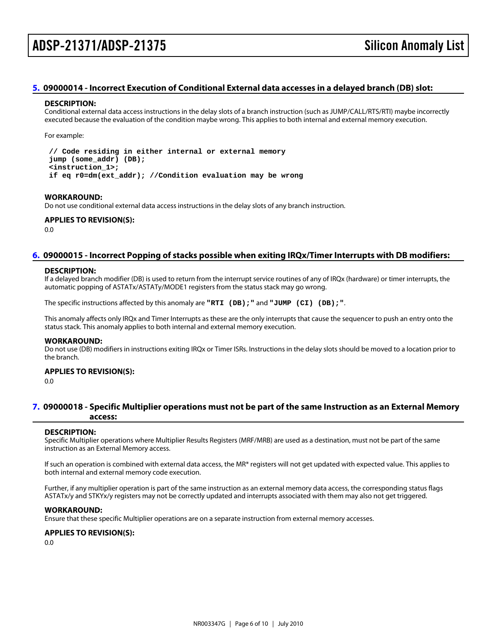#### <span id="page-5-1"></span>[5.](#page-1-4) 09000014 - Incorrect Execution of Conditional External data accesses in a delayed branch (DB) slot:

#### DESCRIPTION:

Conditional external data access instructions in the delay slots of a branch instruction (such as JUMP/CALL/RTS/RTI) maybe incorrectly executed because the evaluation of the condition maybe wrong. This applies to both internal and external memory execution.

For example:

 // Code residing in either internal or external memory jump (some\_addr) (DB); <instruction\_1>; if eq r0=dm(ext\_addr); //Condition evaluation may be wrong

WORKAROUND:

Do not use conditional external data access instructions in the delay slots of any branch instruction.

APPLIES TO REVISION(S): 0.0

#### <span id="page-5-2"></span>[6.](#page-1-5) 09000015 - Incorrect Popping of stacks possible when exiting IRQx/Timer Interrupts with DB modifiers:

#### DESCRIPTION:

If a delayed branch modifier (DB) is used to return from the interrupt service routines of any of IRQx (hardware) or timer interrupts, the automatic popping of ASTATx/ASTATy/MODE1 registers from the status stack may go wrong.

The specific instructions affected by this anomaly are "RTI (DB);" and "JUMP (CI) (DB);".

This anomaly affects only IRQx and Timer Interrupts as these are the only interrupts that cause the sequencer to push an entry onto the status stack. This anomaly applies to both internal and external memory execution.

#### WORKAROUND:

Do not use (DB) modifiers in instructions exiting IRQx or Timer ISRs. Instructions in the delay slots should be moved to a location prior to the branch.

#### APPLIES TO REVISION(S):

0.0

#### <span id="page-5-0"></span>[7.](#page-1-6) 09000018 - Specific Multiplier operations must not be part of the same Instruction as an External Memory access:

#### DESCRIPTION:

Specific Multiplier operations where Multiplier Results Registers (MRF/MRB) are used as a destination, must not be part of the same instruction as an External Memory access.

If such an operation is combined with external data access, the MR\* registers will not get updated with expected value. This applies to both internal and external memory code execution.

Further, if any multiplier operation is part of the same instruction as an external memory data access, the corresponding status flags ASTATx/y and STKYx/y registers may not be correctly updated and interrupts associated with them may also not get triggered.

#### WORKAROUND:

Ensure that these specific Multiplier operations are on a separate instruction from external memory accesses.

APPLIES TO REVISION(S):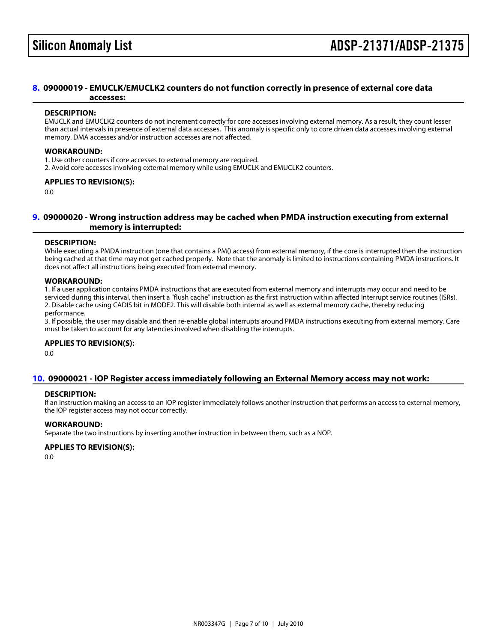#### <span id="page-6-0"></span>[8.](#page-1-7) 09000019 - EMUCLK/EMUCLK2 counters do not function correctly in presence of external core data accesses:

#### DESCRIPTION:

EMUCLK and EMUCLK2 counters do not increment correctly for core accesses involving external memory. As a result, they count lesser than actual intervals in presence of external data accesses. This anomaly is specific only to core driven data accesses involving external memory. DMA accesses and/or instruction accesses are not affected.

#### WORKAROUND:

1. Use other counters if core accesses to external memory are required.

2. Avoid core accesses involving external memory while using EMUCLK and EMUCLK2 counters.

#### APPLIES TO REVISION(S):

0.0

#### <span id="page-6-1"></span>[9.](#page-1-8) 09000020 - Wrong instruction address may be cached when PMDA instruction executing from external memory is interrupted:

#### DESCRIPTION:

While executing a PMDA instruction (one that contains a PM() access) from external memory, if the core is interrupted then the instruction being cached at that time may not get cached properly. Note that the anomaly is limited to instructions containing PMDA instructions. It does not affect all instructions being executed from external memory.

#### WORKAROUND:

1. If a user application contains PMDA instructions that are executed from external memory and interrupts may occur and need to be serviced during this interval, then insert a "flush cache" instruction as the first instruction within affected Interrupt service routines (ISRs). 2. Disable cache using CADIS bit in MODE2. This will disable both internal as well as external memory cache, thereby reducing performance.

3. If possible, the user may disable and then re-enable global interrupts around PMDA instructions executing from external memory. Care must be taken to account for any latencies involved when disabling the interrupts.

#### APPLIES TO REVISION(S):

0.0

#### <span id="page-6-2"></span>[10.](#page-1-9) 09000021 - IOP Register access immediately following an External Memory access may not work:

#### DESCRIPTION:

If an instruction making an access to an IOP register immediately follows another instruction that performs an access to external memory, the IOP register access may not occur correctly.

#### WORKAROUND:

Separate the two instructions by inserting another instruction in between them, such as a NOP.

#### APPLIES TO REVISION(S):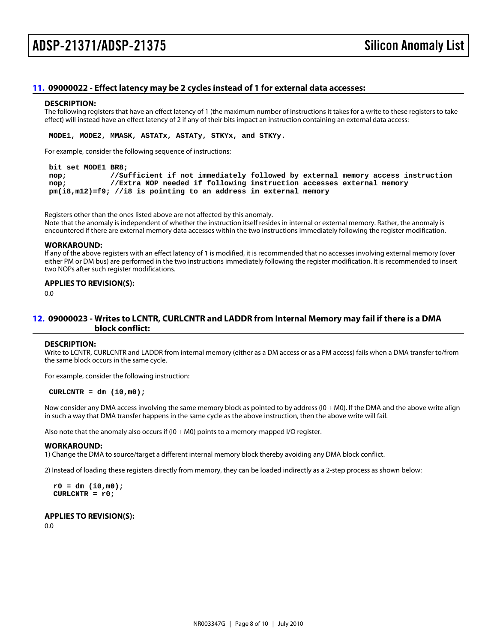#### <span id="page-7-1"></span>[11.](#page-1-10) 09000022 - Effect latency may be 2 cycles instead of 1 for external data accesses:

#### DESCRIPTION:

The following registers that have an effect latency of 1 (the maximum number of instructions it takes for a write to these registers to take effect) will instead have an effect latency of 2 if any of their bits impact an instruction containing an external data access:

MODE1, MODE2, MMASK, ASTATx, ASTATy, STKYx, and STKYy.

For example, consider the following sequence of instructions:

#### bit set MODE1 BR8;

 nop; //Sufficient if not immediately followed by external memory access instruction nop; //Extra NOP needed if following instruction accesses external memory pm(i8,m12)=f9; //i8 is pointing to an address in external memory

Registers other than the ones listed above are not affected by this anomaly. Note that the anomaly is independent of whether the instruction itself resides in internal or external memory. Rather, the anomaly is encountered if there are external memory data accesses within the two instructions immediately following the register modification.

#### WORKAROUND:

If any of the above registers with an effect latency of 1 is modified, it is recommended that no accesses involving external memory (over either PM or DM bus) are performed in the two instructions immediately following the register modification. It is recommended to insert two NOPs after such register modifications.

#### APPLIES TO REVISION(S): 0.0

#### <span id="page-7-0"></span>[12.](#page-1-11) 09000023 - Writes to LCNTR, CURLCNTR and LADDR from Internal Memory may fail if there is a DMA block conflict:

#### DESCRIPTION:

Write to LCNTR, CURLCNTR and LADDR from internal memory (either as a DM access or as a PM access) fails when a DMA transfer to/from the same block occurs in the same cycle.

For example, consider the following instruction:

 $CURLCNTR = dm (i0,m0);$ 

Now consider any DMA access involving the same memory block as pointed to by address (I0 + M0). If the DMA and the above write align in such a way that DMA transfer happens in the same cycle as the above instruction, then the above write will fail.

Also note that the anomaly also occurs if (I0 + M0) points to a memory-mapped I/O register.

#### WORKAROUND:

1) Change the DMA to source/target a different internal memory block thereby avoiding any DMA block conflict.

2) Instead of loading these registers directly from memory, they can be loaded indirectly as a 2-step process as shown below:

 $r0 = dm$  (i0,m0);  $CURLCNTR = r0;$ 

APPLIES TO REVISION(S): 0.0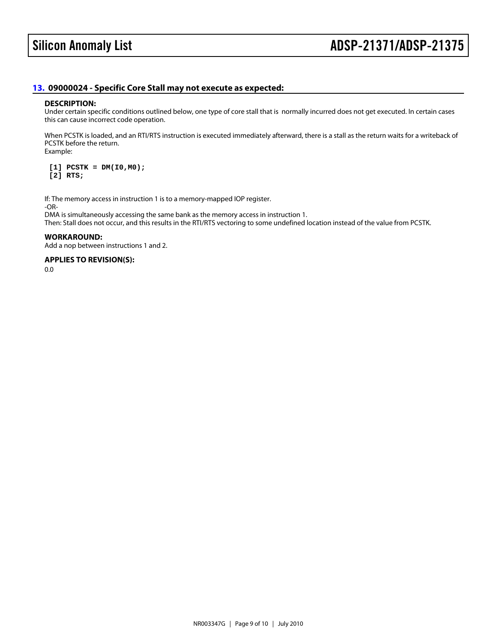### <span id="page-8-0"></span>[13.](#page-1-12) 09000024 - Specific Core Stall may not execute as expected:

#### DESCRIPTION:

Under certain specific conditions outlined below, one type of core stall that is normally incurred does not get executed. In certain cases this can cause incorrect code operation.

When PCSTK is loaded, and an RTI/RTS instruction is executed immediately afterward, there is a stall as the return waits for a writeback of PCSTK before the return. Example:

 $[1]$  PCSTK = DM(I0,M0); [2] RTS;

If: The memory access in instruction 1 is to a memory-mapped IOP register. -OR-

DMA is simultaneously accessing the same bank as the memory access in instruction 1.

Then: Stall does not occur, and this results in the RTI/RTS vectoring to some undefined location instead of the value from PCSTK.

WORKAROUND: Add a nop between instructions 1 and 2.

APPLIES TO REVISION(S): 0.0